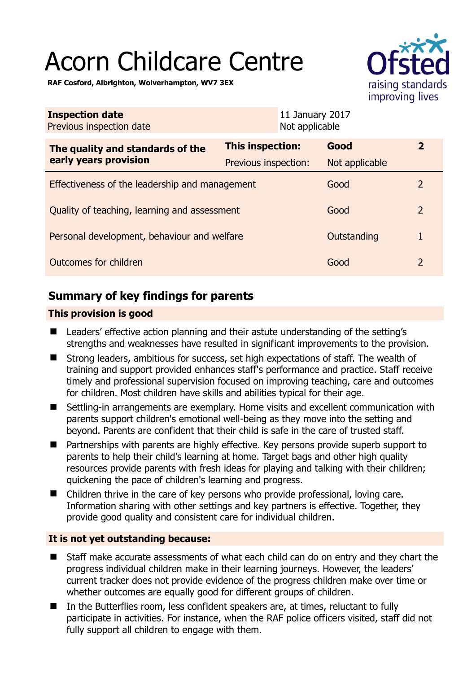# Acorn Childcare Centre



**RAF Cosford, Albrighton, Wolverhampton, WV7 3EX** 

| <b>Inspection date</b><br>Previous inspection date        | 11 January 2017<br>Not applicable |                |                |
|-----------------------------------------------------------|-----------------------------------|----------------|----------------|
| The quality and standards of the<br>early years provision | This inspection:                  | Good           | $\mathbf{2}$   |
|                                                           | Previous inspection:              | Not applicable |                |
| Effectiveness of the leadership and management            |                                   | Good           | $\overline{2}$ |
| Quality of teaching, learning and assessment              |                                   | Good           | $\overline{2}$ |
| Personal development, behaviour and welfare               |                                   | Outstanding    | 1              |
| Outcomes for children                                     |                                   | Good           | $\overline{2}$ |

# **Summary of key findings for parents**

# **This provision is good**

- Leaders' effective action planning and their astute understanding of the setting's strengths and weaknesses have resulted in significant improvements to the provision.
- Strong leaders, ambitious for success, set high expectations of staff. The wealth of training and support provided enhances staff's performance and practice. Staff receive timely and professional supervision focused on improving teaching, care and outcomes for children. Most children have skills and abilities typical for their age.
- Settling-in arrangements are exemplary. Home visits and excellent communication with parents support children's emotional well-being as they move into the setting and beyond. Parents are confident that their child is safe in the care of trusted staff.
- Partnerships with parents are highly effective. Key persons provide superb support to parents to help their child's learning at home. Target bags and other high quality resources provide parents with fresh ideas for playing and talking with their children; quickening the pace of children's learning and progress.
- Children thrive in the care of key persons who provide professional, loving care. Information sharing with other settings and key partners is effective. Together, they provide good quality and consistent care for individual children.

# **It is not yet outstanding because:**

- Staff make accurate assessments of what each child can do on entry and they chart the progress individual children make in their learning journeys. However, the leaders' current tracker does not provide evidence of the progress children make over time or whether outcomes are equally good for different groups of children.
- In the Butterflies room, less confident speakers are, at times, reluctant to fully participate in activities. For instance, when the RAF police officers visited, staff did not fully support all children to engage with them.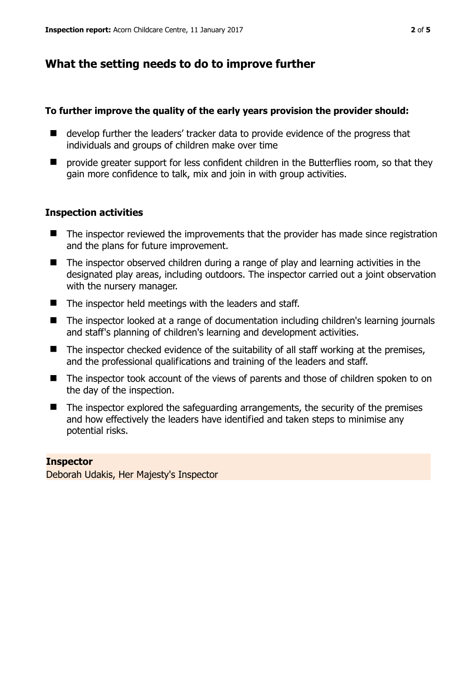# **What the setting needs to do to improve further**

#### **To further improve the quality of the early years provision the provider should:**

- develop further the leaders' tracker data to provide evidence of the progress that individuals and groups of children make over time
- $\blacksquare$  provide greater support for less confident children in the Butterflies room, so that they gain more confidence to talk, mix and join in with group activities.

## **Inspection activities**

- The inspector reviewed the improvements that the provider has made since registration and the plans for future improvement.
- The inspector observed children during a range of play and learning activities in the designated play areas, including outdoors. The inspector carried out a joint observation with the nursery manager.
- $\blacksquare$  The inspector held meetings with the leaders and staff.
- The inspector looked at a range of documentation including children's learning journals and staff's planning of children's learning and development activities.
- $\blacksquare$  The inspector checked evidence of the suitability of all staff working at the premises, and the professional qualifications and training of the leaders and staff.
- The inspector took account of the views of parents and those of children spoken to on the day of the inspection.
- $\blacksquare$  The inspector explored the safeguarding arrangements, the security of the premises and how effectively the leaders have identified and taken steps to minimise any potential risks.

#### **Inspector**

Deborah Udakis, Her Majesty's Inspector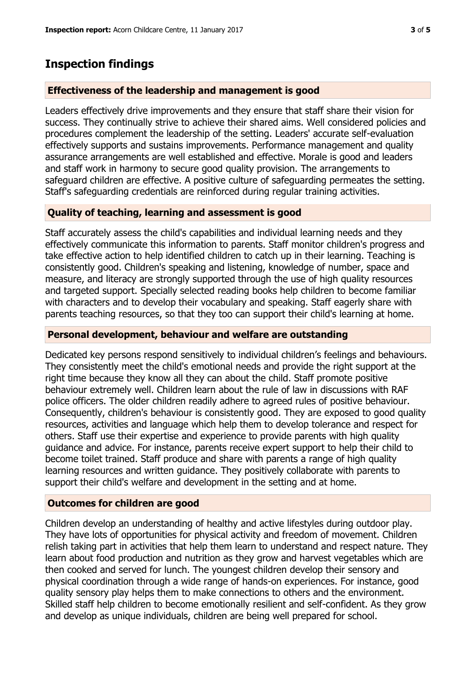# **Inspection findings**

## **Effectiveness of the leadership and management is good**

Leaders effectively drive improvements and they ensure that staff share their vision for success. They continually strive to achieve their shared aims. Well considered policies and procedures complement the leadership of the setting. Leaders' accurate self-evaluation effectively supports and sustains improvements. Performance management and quality assurance arrangements are well established and effective. Morale is good and leaders and staff work in harmony to secure good quality provision. The arrangements to safeguard children are effective. A positive culture of safeguarding permeates the setting. Staff's safeguarding credentials are reinforced during regular training activities.

## **Quality of teaching, learning and assessment is good**

Staff accurately assess the child's capabilities and individual learning needs and they effectively communicate this information to parents. Staff monitor children's progress and take effective action to help identified children to catch up in their learning. Teaching is consistently good. Children's speaking and listening, knowledge of number, space and measure, and literacy are strongly supported through the use of high quality resources and targeted support. Specially selected reading books help children to become familiar with characters and to develop their vocabulary and speaking. Staff eagerly share with parents teaching resources, so that they too can support their child's learning at home.

#### **Personal development, behaviour and welfare are outstanding**

Dedicated key persons respond sensitively to individual children's feelings and behaviours. They consistently meet the child's emotional needs and provide the right support at the right time because they know all they can about the child. Staff promote positive behaviour extremely well. Children learn about the rule of law in discussions with RAF police officers. The older children readily adhere to agreed rules of positive behaviour. Consequently, children's behaviour is consistently good. They are exposed to good quality resources, activities and language which help them to develop tolerance and respect for others. Staff use their expertise and experience to provide parents with high quality guidance and advice. For instance, parents receive expert support to help their child to become toilet trained. Staff produce and share with parents a range of high quality learning resources and written guidance. They positively collaborate with parents to support their child's welfare and development in the setting and at home.

## **Outcomes for children are good**

Children develop an understanding of healthy and active lifestyles during outdoor play. They have lots of opportunities for physical activity and freedom of movement. Children relish taking part in activities that help them learn to understand and respect nature. They learn about food production and nutrition as they grow and harvest vegetables which are then cooked and served for lunch. The youngest children develop their sensory and physical coordination through a wide range of hands-on experiences. For instance, good quality sensory play helps them to make connections to others and the environment. Skilled staff help children to become emotionally resilient and self-confident. As they grow and develop as unique individuals, children are being well prepared for school.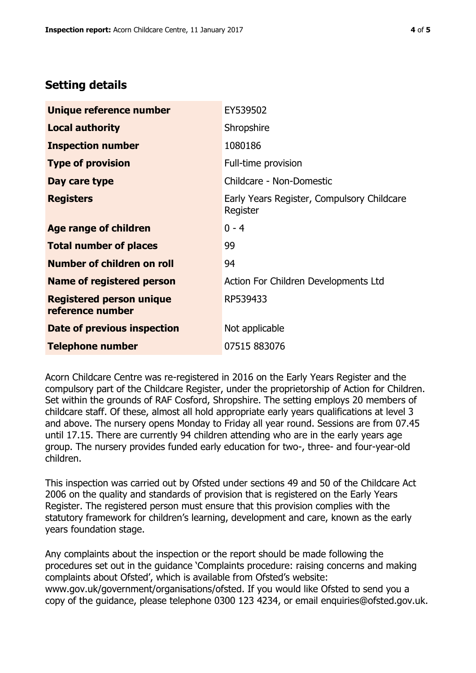# **Setting details**

| Unique reference number                             | EY539502                                               |  |
|-----------------------------------------------------|--------------------------------------------------------|--|
| <b>Local authority</b>                              | Shropshire                                             |  |
| <b>Inspection number</b>                            | 1080186                                                |  |
| <b>Type of provision</b>                            | Full-time provision                                    |  |
| Day care type                                       | Childcare - Non-Domestic                               |  |
| <b>Registers</b>                                    | Early Years Register, Compulsory Childcare<br>Register |  |
| Age range of children                               | $0 - 4$                                                |  |
| <b>Total number of places</b>                       | 99                                                     |  |
| <b>Number of children on roll</b>                   | 94                                                     |  |
| <b>Name of registered person</b>                    | Action For Children Developments Ltd                   |  |
| <b>Registered person unique</b><br>reference number | RP539433                                               |  |
| <b>Date of previous inspection</b>                  | Not applicable                                         |  |
| <b>Telephone number</b>                             | 07515 883076                                           |  |

Acorn Childcare Centre was re-registered in 2016 on the Early Years Register and the compulsory part of the Childcare Register, under the proprietorship of Action for Children. Set within the grounds of RAF Cosford, Shropshire. The setting employs 20 members of childcare staff. Of these, almost all hold appropriate early years qualifications at level 3 and above. The nursery opens Monday to Friday all year round. Sessions are from 07.45 until 17.15. There are currently 94 children attending who are in the early years age group. The nursery provides funded early education for two-, three- and four-year-old children.

This inspection was carried out by Ofsted under sections 49 and 50 of the Childcare Act 2006 on the quality and standards of provision that is registered on the Early Years Register. The registered person must ensure that this provision complies with the statutory framework for children's learning, development and care, known as the early years foundation stage.

Any complaints about the inspection or the report should be made following the procedures set out in the guidance 'Complaints procedure: raising concerns and making complaints about Ofsted', which is available from Ofsted's website: www.gov.uk/government/organisations/ofsted. If you would like Ofsted to send you a copy of the guidance, please telephone 0300 123 4234, or email enquiries@ofsted.gov.uk.